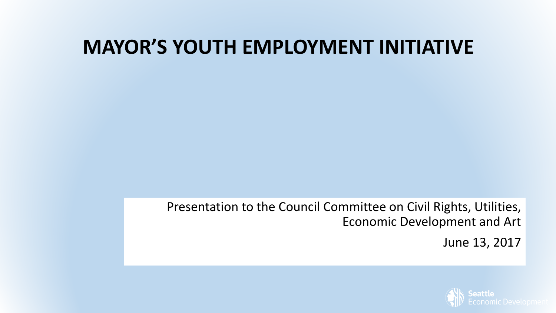#### **MAYOR'S YOUTH EMPLOYMENT INITIATIVE**

Presentation to the Council Committee on Civil Rights, Utilities, Economic Development and Art

June 13, 2017

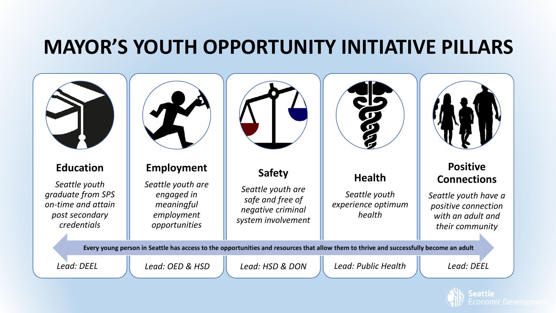#### **MAYOR'S YOUTH OPPORTUNITY INITIATIVE PILLARS**



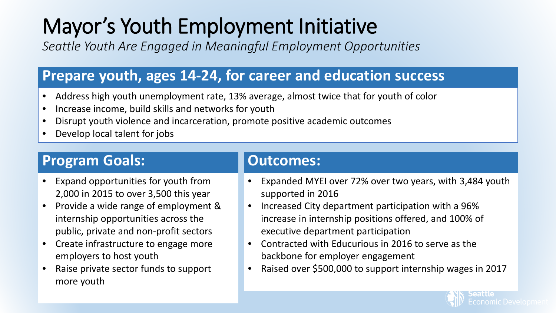## Mayor's Youth Employment Initiative

*Seattle Youth Are Engaged in Meaningful Employment Opportunities*

#### **Prepare youth, ages 14-24, for career and education success**

- Address high youth unemployment rate, 13% average, almost twice that for youth of color
- Increase income, build skills and networks for youth
- Disrupt youth violence and incarceration, promote positive academic outcomes
- Develop local talent for jobs

#### **Program Goals: Dutcomes:**

- Expand opportunities for youth from 2,000 in 2015 to over 3,500 this year
- Provide a wide range of employment & internship opportunities across the public, private and non-profit sectors
- Create infrastructure to engage more employers to host youth
- Raise private sector funds to support more youth

- Expanded MYEI over 72% over two years, with 3,484 youth supported in 2016
- Increased City department participation with a 96% increase in internship positions offered, and 100% of executive department participation
- Contracted with Educurious in 2016 to serve as the backbone for employer engagement
- Raised over \$500,000 to support internship wages in 2017

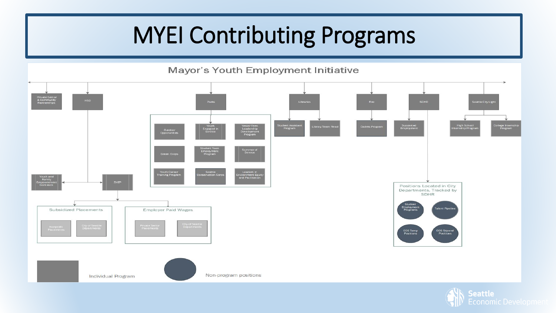## MYEI Contributing Programs



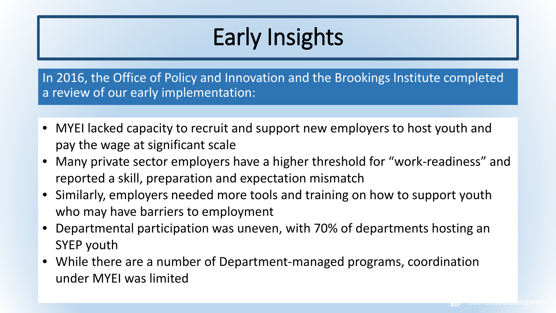# Early Insights

In 2016, the Office of Policy and Innovation and the Brookings Institute completed a review of our early implementation:

- MYEI lacked capacity to recruit and support new employers to host youth and pay the wage at significant scale
- Many private sector employers have a higher threshold for "work-readiness" and reported a skill, preparation and expectation mismatch
- Similarly, employers needed more tools and training on how to support youth who may have barriers to employment
- Departmental participation was uneven, with 70% of departments hosting an SYEP youth
- While there are a number of Department-managed programs, coordination under MYEI was limited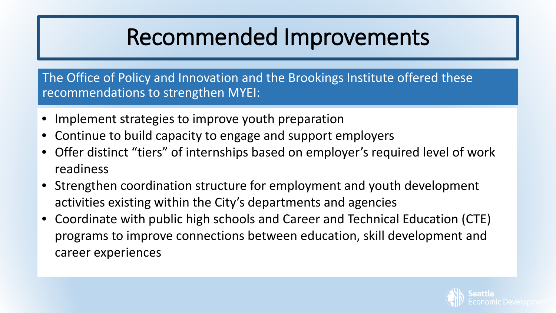## Recommended Improvements

The Office of Policy and Innovation and the Brookings Institute offered these recommendations to strengthen MYEI:

- Implement strategies to improve youth preparation
- Continue to build capacity to engage and support employers
- Offer distinct "tiers" of internships based on employer's required level of work readiness
- Strengthen coordination structure for employment and youth development activities existing within the City's departments and agencies
- Coordinate with public high schools and Career and Technical Education (CTE) programs to improve connections between education, skill development and career experiences

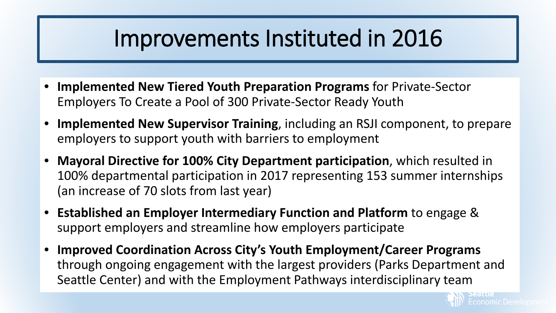#### Improvements Instituted in 2016

- **Implemented New Tiered Youth Preparation Programs** for Private-Sector Employers To Create a Pool of 300 Private-Sector Ready Youth
- **Implemented New Supervisor Training**, including an RSJI component, to prepare employers to support youth with barriers to employment
- **Mayoral Directive for 100% City Department participation**, which resulted in 100% departmental participation in 2017 representing 153 summer internships (an increase of 70 slots from last year)
- **Established an Employer Intermediary Function and Platform** to engage & support employers and streamline how employers participate
- **Improved Coordination Across City's Youth Employment/Career Programs**  through ongoing engagement with the largest providers (Parks Department and Seattle Center) and with the Employment Pathways interdisciplinary team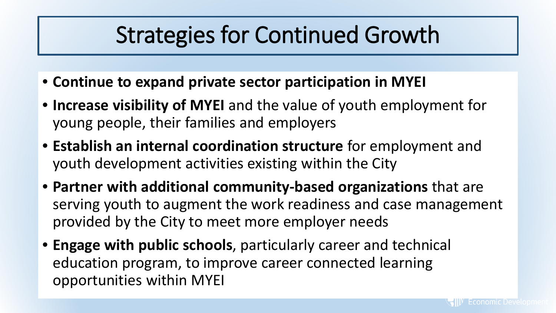#### Strategies for Continued Growth

- **Continue to expand private sector participation in MYEI**
- **Increase visibility of MYEI** and the value of youth employment for young people, their families and employers
- **Establish an internal coordination structure** for employment and youth development activities existing within the City
- **Partner with additional community-based organizations** that are serving youth to augment the work readiness and case management provided by the City to meet more employer needs
- **Engage with public schools**, particularly career and technical education program, to improve career connected learning opportunities within MYEI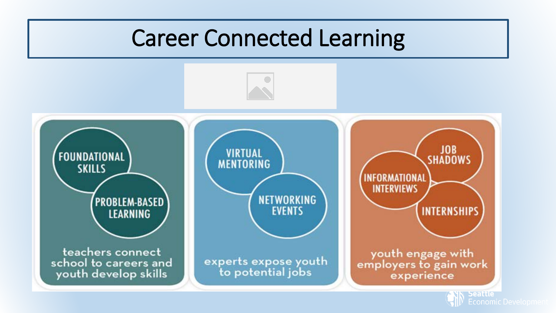